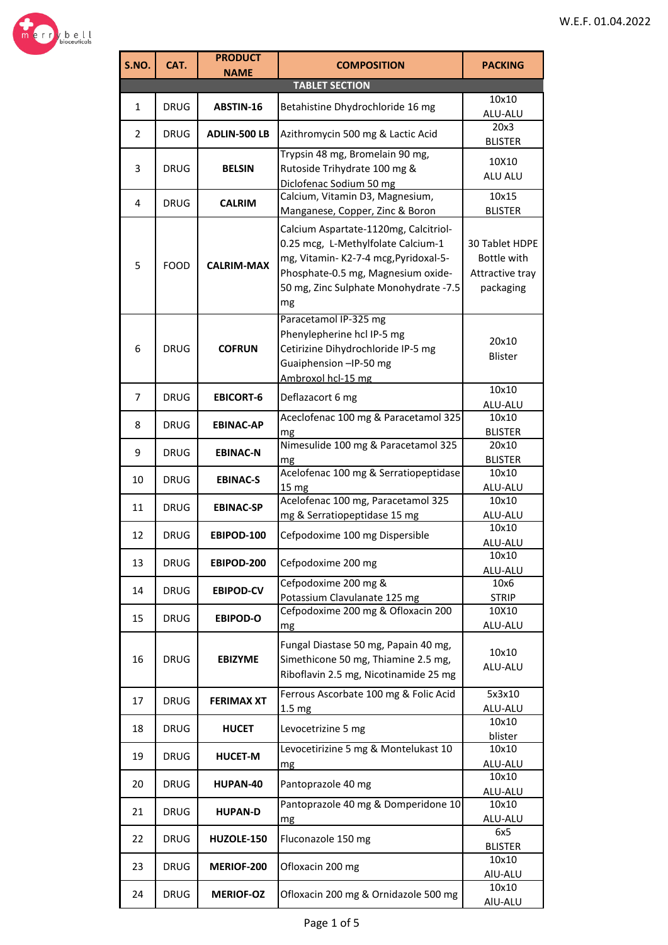

| S.NO.          | CAT.        | <b>PRODUCT</b><br><b>NAME</b> | <b>COMPOSITION</b>                                                                                                                                                                                       | <b>PACKING</b>                                                |
|----------------|-------------|-------------------------------|----------------------------------------------------------------------------------------------------------------------------------------------------------------------------------------------------------|---------------------------------------------------------------|
|                |             |                               | <b>TABLET SECTION</b>                                                                                                                                                                                    |                                                               |
| $\mathbf{1}$   | <b>DRUG</b> | ABSTIN-16                     | Betahistine Dhydrochloride 16 mg                                                                                                                                                                         | 10x10<br>ALU-ALU                                              |
| $\overline{2}$ | <b>DRUG</b> | <b>ADLIN-500 LB</b>           | Azithromycin 500 mg & Lactic Acid                                                                                                                                                                        | 20x3<br><b>BLISTER</b>                                        |
| 3              | <b>DRUG</b> | <b>BELSIN</b>                 | Trypsin 48 mg, Bromelain 90 mg,<br>Rutoside Trihydrate 100 mg &<br>Diclofenac Sodium 50 mg                                                                                                               | 10X10<br>ALU ALU                                              |
| 4              | <b>DRUG</b> | <b>CALRIM</b>                 | Calcium, Vitamin D3, Magnesium,<br>Manganese, Copper, Zinc & Boron                                                                                                                                       | 10x15<br><b>BLISTER</b>                                       |
| 5              | <b>FOOD</b> | <b>CALRIM-MAX</b>             | Calcium Aspartate-1120mg, Calcitriol-<br>0.25 mcg, L-Methylfolate Calcium-1<br>mg, Vitamin-K2-7-4 mcg, Pyridoxal-5-<br>Phosphate-0.5 mg, Magnesium oxide-<br>50 mg, Zinc Sulphate Monohydrate -7.5<br>mg | 30 Tablet HDPE<br>Bottle with<br>Attractive tray<br>packaging |
| 6              | <b>DRUG</b> | <b>COFRUN</b>                 | Paracetamol IP-325 mg<br>Phenylepherine hcl IP-5 mg<br>Cetirizine Dihydrochloride IP-5 mg<br>Guaiphension -IP-50 mg<br>Ambroxol hcl-15 mg                                                                | 20x10<br><b>Blister</b>                                       |
| 7              | <b>DRUG</b> | <b>EBICORT-6</b>              | Deflazacort 6 mg                                                                                                                                                                                         | 10x10<br>ALU-ALU                                              |
| 8              | <b>DRUG</b> | <b>EBINAC-AP</b>              | Aceclofenac 100 mg & Paracetamol 325<br>mg                                                                                                                                                               | 10x10<br><b>BLISTER</b>                                       |
| 9              | <b>DRUG</b> | <b>EBINAC-N</b>               | Nimesulide 100 mg & Paracetamol 325<br>mg                                                                                                                                                                | 20x10<br><b>BLISTER</b>                                       |
| 10             | <b>DRUG</b> | <b>EBINAC-S</b>               | Acelofenac 100 mg & Serratiopeptidase<br>15 <sub>mg</sub>                                                                                                                                                | 10x10<br>ALU-ALU                                              |
| 11             | <b>DRUG</b> | <b>EBINAC-SP</b>              | Acelofenac 100 mg, Paracetamol 325<br>mg & Serratiopeptidase 15 mg                                                                                                                                       | 10x10<br>ALU-ALU                                              |
| 12             | <b>DRUG</b> | EBIPOD-100                    | Cefpodoxime 100 mg Dispersible                                                                                                                                                                           | 10x10<br><b>ALU-ALU</b>                                       |
| 13             | <b>DRUG</b> | EBIPOD-200                    | Cefpodoxime 200 mg                                                                                                                                                                                       | 10x10<br>ALU-ALU                                              |
| 14             | <b>DRUG</b> | <b>EBIPOD-CV</b>              | Cefpodoxime 200 mg &<br>Potassium Clavulanate 125 mg                                                                                                                                                     | 10x6<br><b>STRIP</b>                                          |
| 15             | <b>DRUG</b> | <b>EBIPOD-O</b>               | Cefpodoxime 200 mg & Ofloxacin 200<br>mg                                                                                                                                                                 | 10X10<br>ALU-ALU                                              |
| 16             | <b>DRUG</b> | <b>EBIZYME</b>                | Fungal Diastase 50 mg, Papain 40 mg,<br>Simethicone 50 mg, Thiamine 2.5 mg,<br>Riboflavin 2.5 mg, Nicotinamide 25 mg                                                                                     | 10x10<br>ALU-ALU                                              |
| 17             | <b>DRUG</b> | <b>FERIMAX XT</b>             | Ferrous Ascorbate 100 mg & Folic Acid<br>1.5 <sub>mg</sub>                                                                                                                                               | 5x3x10<br>ALU-ALU                                             |
| 18             | <b>DRUG</b> | <b>HUCET</b>                  | Levocetrizine 5 mg                                                                                                                                                                                       | 10x10<br>blister                                              |
| 19             | <b>DRUG</b> | <b>HUCET-M</b>                | Levocetirizine 5 mg & Montelukast 10<br>mg                                                                                                                                                               | 10x10<br>ALU-ALU                                              |
| 20             | <b>DRUG</b> | HUPAN-40                      | Pantoprazole 40 mg                                                                                                                                                                                       | 10x10<br>ALU-ALU                                              |
| 21             | <b>DRUG</b> | <b>HUPAN-D</b>                | Pantoprazole 40 mg & Domperidone 10<br>mg                                                                                                                                                                | 10x10<br>ALU-ALU                                              |
| 22             | <b>DRUG</b> | HUZOLE-150                    | Fluconazole 150 mg                                                                                                                                                                                       | 6x5<br><b>BLISTER</b>                                         |
| 23             | <b>DRUG</b> | MERIOF-200                    | Ofloxacin 200 mg                                                                                                                                                                                         | 10x10<br>AIU-ALU                                              |
| 24             | <b>DRUG</b> | <b>MERIOF-OZ</b>              | Ofloxacin 200 mg & Ornidazole 500 mg                                                                                                                                                                     | 10x10<br>AIU-ALU                                              |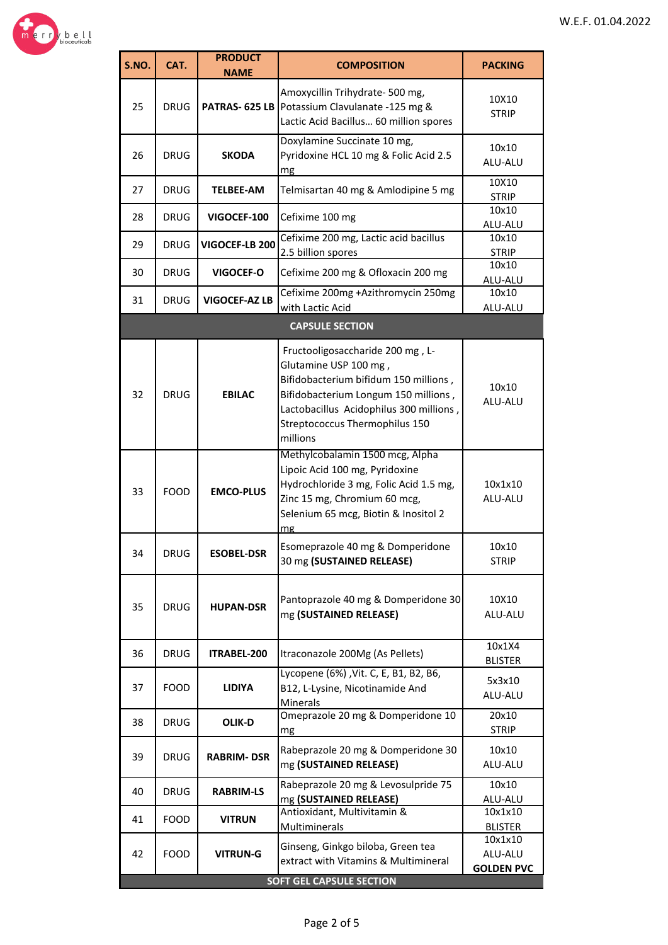

| S.NO. | CAT.        | <b>PRODUCT</b>        | <b>COMPOSITION</b>                                                                                                                                                                                                                  | <b>PACKING</b>                          |
|-------|-------------|-----------------------|-------------------------------------------------------------------------------------------------------------------------------------------------------------------------------------------------------------------------------------|-----------------------------------------|
|       |             | <b>NAME</b>           |                                                                                                                                                                                                                                     |                                         |
| 25    | <b>DRUG</b> | <b>PATRAS- 625 LB</b> | Amoxycillin Trihydrate- 500 mg,<br>Potassium Clavulanate -125 mg &<br>Lactic Acid Bacillus 60 million spores                                                                                                                        | 10X10<br><b>STRIP</b>                   |
| 26    | <b>DRUG</b> | <b>SKODA</b>          | Doxylamine Succinate 10 mg,<br>Pyridoxine HCL 10 mg & Folic Acid 2.5<br>mg                                                                                                                                                          | 10x10<br>ALU-ALU                        |
| 27    | <b>DRUG</b> | <b>TELBEE-AM</b>      | Telmisartan 40 mg & Amlodipine 5 mg                                                                                                                                                                                                 | 10X10<br><b>STRIP</b>                   |
| 28    | <b>DRUG</b> | VIGOCEF-100           | Cefixime 100 mg                                                                                                                                                                                                                     | 10x10<br>ALU-ALU                        |
| 29    | <b>DRUG</b> | VIGOCEF-LB 200        | Cefixime 200 mg, Lactic acid bacillus<br>2.5 billion spores                                                                                                                                                                         | 10x10<br><b>STRIP</b>                   |
| 30    | <b>DRUG</b> | <b>VIGOCEF-O</b>      | Cefixime 200 mg & Ofloxacin 200 mg                                                                                                                                                                                                  | 10x10<br>ALU-ALU                        |
| 31    | <b>DRUG</b> | <b>VIGOCEF-AZ LB</b>  | Cefixime 200mg +Azithromycin 250mg<br>with Lactic Acid                                                                                                                                                                              | 10x10<br>ALU-ALU                        |
|       |             |                       | <b>CAPSULE SECTION</b>                                                                                                                                                                                                              |                                         |
| 32    | <b>DRUG</b> | <b>EBILAC</b>         | Fructooligosaccharide 200 mg, L-<br>Glutamine USP 100 mg,<br>Bifidobacterium bifidum 150 millions,<br>Bifidobacterium Longum 150 millions,<br>Lactobacillus Acidophilus 300 millions,<br>Streptococcus Thermophilus 150<br>millions | 10x10<br>ALU-ALU                        |
| 33    | <b>FOOD</b> | <b>EMCO-PLUS</b>      | Methylcobalamin 1500 mcg, Alpha<br>Lipoic Acid 100 mg, Pyridoxine<br>Hydrochloride 3 mg, Folic Acid 1.5 mg,<br>Zinc 15 mg, Chromium 60 mcg,<br>Selenium 65 mcg, Biotin & Inositol 2<br>mg                                           | 10x1x10<br>ALU-ALU                      |
| 34    | DRUG        | <b>ESOBEL-DSR</b>     | Esomeprazole 40 mg & Domperidone<br>30 mg (SUSTAINED RELEASE)                                                                                                                                                                       | 10x10<br><b>STRIP</b>                   |
| 35    | <b>DRUG</b> | <b>HUPAN-DSR</b>      | Pantoprazole 40 mg & Domperidone 30<br>mg (SUSTAINED RELEASE)                                                                                                                                                                       | 10X10<br>ALU-ALU                        |
| 36    | <b>DRUG</b> | ITRABEL-200           | Itraconazole 200Mg (As Pellets)                                                                                                                                                                                                     | 10x1X4<br><b>BLISTER</b>                |
| 37    | <b>FOOD</b> | <b>LIDIYA</b>         | Lycopene (6%) , Vit. C, E, B1, B2, B6,<br>B12, L-Lysine, Nicotinamide And<br>Minerals                                                                                                                                               | 5x3x10<br>ALU-ALU                       |
| 38    | <b>DRUG</b> | <b>OLIK-D</b>         | Omeprazole 20 mg & Domperidone 10<br>mg                                                                                                                                                                                             | 20x10<br><b>STRIP</b>                   |
| 39    | <b>DRUG</b> | <b>RABRIM-DSR</b>     | Rabeprazole 20 mg & Domperidone 30<br>mg (SUSTAINED RELEASE)                                                                                                                                                                        | 10x10<br>ALU-ALU                        |
| 40    | <b>DRUG</b> | <b>RABRIM-LS</b>      | Rabeprazole 20 mg & Levosulpride 75<br>mg (SUSTAINED RELEASE)                                                                                                                                                                       | 10x10<br>ALU-ALU                        |
| 41    | <b>FOOD</b> | <b>VITRUN</b>         | Antioxidant, Multivitamin &<br>Multiminerals                                                                                                                                                                                        | 10x1x10<br><b>BLISTER</b>               |
| 42    | <b>FOOD</b> | <b>VITRUN-G</b>       | Ginseng, Ginkgo biloba, Green tea<br>extract with Vitamins & Multimineral<br><b>SOFT GEL CAPSULE SECTION</b>                                                                                                                        | 10x1x10<br>ALU-ALU<br><b>GOLDEN PVC</b> |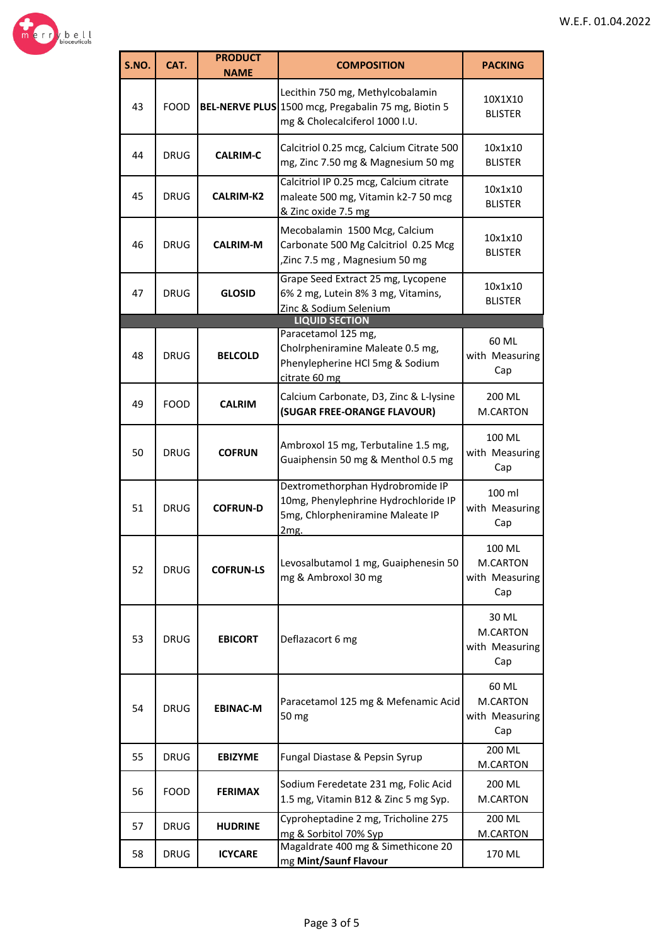

| S.NO. | CAT.        | <b>PRODUCT</b><br><b>NAME</b> | <b>COMPOSITION</b>                                                                                                        | <b>PACKING</b>                              |
|-------|-------------|-------------------------------|---------------------------------------------------------------------------------------------------------------------------|---------------------------------------------|
| 43    | <b>FOOD</b> |                               | Lecithin 750 mg, Methylcobalamin<br>BEL-NERVE PLUS 1500 mcg, Pregabalin 75 mg, Biotin 5<br>mg & Cholecalciferol 1000 I.U. | 10X1X10<br><b>BLISTER</b>                   |
| 44    | <b>DRUG</b> | <b>CALRIM-C</b>               | Calcitriol 0.25 mcg, Calcium Citrate 500<br>mg, Zinc 7.50 mg & Magnesium 50 mg                                            | 10x1x10<br><b>BLISTER</b>                   |
| 45    | <b>DRUG</b> | <b>CALRIM-K2</b>              | Calcitriol IP 0.25 mcg, Calcium citrate<br>maleate 500 mg, Vitamin k2-7 50 mcg<br>& Zinc oxide 7.5 mg                     | 10x1x10<br><b>BLISTER</b>                   |
| 46    | <b>DRUG</b> | <b>CALRIM-M</b>               | Mecobalamin 1500 Mcg, Calcium<br>Carbonate 500 Mg Calcitriol 0.25 Mcg<br>,Zinc 7.5 mg, Magnesium 50 mg                    | 10x1x10<br><b>BLISTER</b>                   |
| 47    | <b>DRUG</b> | <b>GLOSID</b>                 | Grape Seed Extract 25 mg, Lycopene<br>6% 2 mg, Lutein 8% 3 mg, Vitamins,<br>Zinc & Sodium Selenium                        | 10x1x10<br><b>BLISTER</b>                   |
|       |             |                               | <b>LIQUID SECTION</b><br>Paracetamol 125 mg,                                                                              |                                             |
| 48    | <b>DRUG</b> | <b>BELCOLD</b>                | Cholrpheniramine Maleate 0.5 mg,<br>Phenylepherine HCl 5mg & Sodium<br>citrate 60 mg                                      | 60 ML<br>with Measuring<br>Cap              |
| 49    | <b>FOOD</b> | <b>CALRIM</b>                 | Calcium Carbonate, D3, Zinc & L-lysine<br>(SUGAR FREE-ORANGE FLAVOUR)                                                     | 200 ML<br>M.CARTON                          |
| 50    | DRUG        | <b>COFRUN</b>                 | Ambroxol 15 mg, Terbutaline 1.5 mg,<br>Guaiphensin 50 mg & Menthol 0.5 mg                                                 | 100 ML<br>with Measuring<br>Cap             |
| 51    | DRUG        | <b>COFRUN-D</b>               | Dextromethorphan Hydrobromide IP<br>10mg, Phenylephrine Hydrochloride IP<br>5mg, Chlorpheniramine Maleate IP<br>2mg.      | 100 ml<br>with Measuring<br>Cap             |
| 52    | <b>DRUG</b> | <b>COFRUN-LS</b>              | Levosalbutamol 1 mg, Guaiphenesin 50<br>mg & Ambroxol 30 mg                                                               | 100 ML<br>M.CARTON<br>with Measuring<br>Cap |
| 53    | <b>DRUG</b> | <b>EBICORT</b>                | Deflazacort 6 mg                                                                                                          | 30 ML<br>M.CARTON<br>with Measuring<br>Cap  |
| 54    | <b>DRUG</b> | <b>EBINAC-M</b>               | Paracetamol 125 mg & Mefenamic Acid<br>50 mg                                                                              | 60 ML<br>M.CARTON<br>with Measuring<br>Cap  |
| 55    | <b>DRUG</b> | <b>EBIZYME</b>                | Fungal Diastase & Pepsin Syrup                                                                                            | 200 ML<br>M.CARTON                          |
| 56    | FOOD        | <b>FERIMAX</b>                | Sodium Feredetate 231 mg, Folic Acid<br>1.5 mg, Vitamin B12 & Zinc 5 mg Syp.                                              | 200 ML<br>M.CARTON                          |
| 57    | <b>DRUG</b> | <b>HUDRINE</b>                | Cyproheptadine 2 mg, Tricholine 275<br>mg & Sorbitol 70% Syp                                                              | 200 ML<br>M.CARTON                          |
| 58    | <b>DRUG</b> | <b>ICYCARE</b>                | Magaldrate 400 mg & Simethicone 20<br>mg Mint/Saunf Flavour                                                               | 170 ML                                      |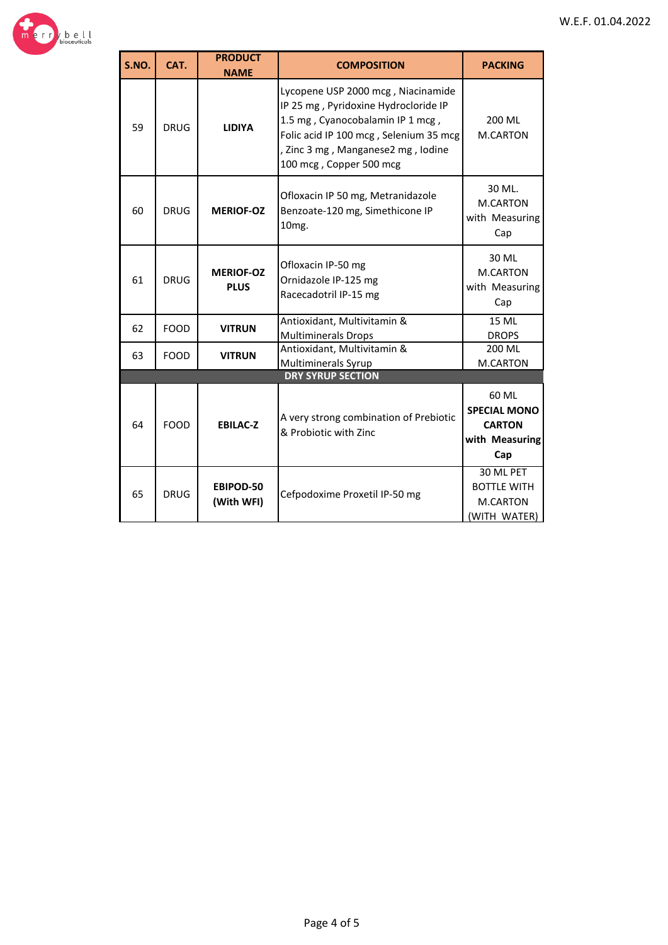



| S.NO. | CAT.        | <b>PRODUCT</b><br><b>NAME</b>   | <b>COMPOSITION</b>                                                                                                                                                                                                        | <b>PACKING</b>                                                         |
|-------|-------------|---------------------------------|---------------------------------------------------------------------------------------------------------------------------------------------------------------------------------------------------------------------------|------------------------------------------------------------------------|
| 59    | <b>DRUG</b> | <b>LIDIYA</b>                   | Lycopene USP 2000 mcg, Niacinamide<br>IP 25 mg, Pyridoxine Hydrocloride IP<br>1.5 mg, Cyanocobalamin IP 1 mcg,<br>Folic acid IP 100 mcg, Selenium 35 mcg<br>, Zinc 3 mg, Manganese2 mg, Iodine<br>100 mcg, Copper 500 mcg | 200 ML<br><b>M.CARTON</b>                                              |
| 60    | <b>DRUG</b> | <b>MERIOF-OZ</b>                | Ofloxacin IP 50 mg, Metranidazole<br>Benzoate-120 mg, Simethicone IP<br>10 <sub>mg</sub> .                                                                                                                                | 30 ML.<br>M.CARTON<br>with Measuring<br>Cap                            |
| 61    | <b>DRUG</b> | <b>MERIOF-OZ</b><br><b>PLUS</b> | Ofloxacin IP-50 mg<br>Ornidazole IP-125 mg<br>Racecadotril IP-15 mg                                                                                                                                                       | 30 ML<br><b>M.CARTON</b><br>with Measuring<br>Cap                      |
| 62    | <b>FOOD</b> | <b>VITRUN</b>                   | Antioxidant, Multivitamin &<br><b>Multiminerals Drops</b>                                                                                                                                                                 | 15 MI<br><b>DROPS</b>                                                  |
| 63    | <b>FOOD</b> | <b>VITRUN</b>                   | Antioxidant, Multivitamin &<br>Multiminerals Syrup                                                                                                                                                                        | 200 ML<br><b>M.CARTON</b>                                              |
|       |             |                                 | <b>DRY SYRUP SECTION</b>                                                                                                                                                                                                  |                                                                        |
| 64    | <b>FOOD</b> | <b>EBILAC-Z</b>                 | A very strong combination of Prebiotic<br>& Probiotic with Zinc                                                                                                                                                           | 60 ML<br><b>SPECIAL MONO</b><br><b>CARTON</b><br>with Measuring<br>Cap |
| 65    | <b>DRUG</b> | EBIPOD-50<br>(With WFI)         | Cefpodoxime Proxetil IP-50 mg                                                                                                                                                                                             | 30 ML PET<br><b>BOTTLE WITH</b><br><b>M.CARTON</b><br>(WITH WATER)     |